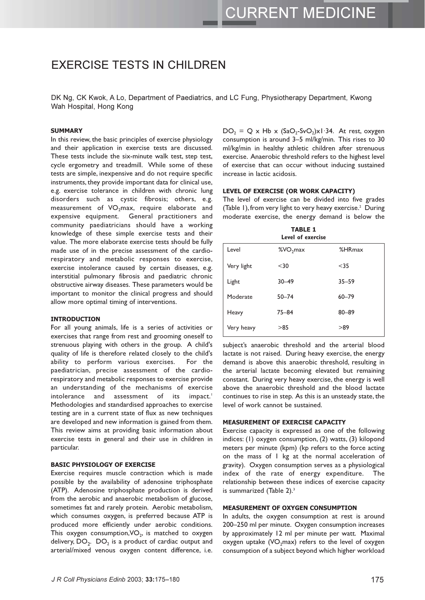# **EXERCISE TESTS IN CHILDREN**

DK Ng. CK Kwok, A Lo. Department of Paediatrics, and LC Fung. Physiotherapy Department, Kwong Wah Hospital, Hong Kong

#### **SUMMARY**

In this review, the basic principles of exercise physiology and their application in exercise tests are discussed. These tests include the six-minute walk test, step test, cycle ergometry and treadmill. While some of these tests are simple, inexpensive and do not require specific instruments, they provide important data for clinical use, e.g. exercise tolerance in children with chronic lung disorders such as cystic fibrosis; others, e.g. measurement of VO<sub>2</sub>max, require elaborate and expensive equipment. General practitioners and community paediatricians should have a working knowledge of these simple exercise tests and their value. The more elaborate exercise tests should be fully made use of in the precise assessment of the cardiorespiratory and metabolic responses to exercise, exercise intolerance caused by certain diseases, e.g. interstitial pulmonary fibrosis and paediatric chronic obstructive airway diseases. These parameters would be important to monitor the clinical progress and should allow more optimal timing of interventions.

#### **INTRODUCTION**

For all young animals, life is a series of activities or exercises that range from rest and grooming oneself to strenuous playing with others in the group. A child's quality of life is therefore related closely to the child's ability to perform various exercises. For the paediatrician, precise assessment of the cardiorespiratory and metabolic responses to exercise provide an understanding of the mechanisms of exercise assessment of its impact.<sup>1</sup> intolerance and Methodologies and standardised approaches to exercise testing are in a current state of flux as new techniques are developed and new information is gained from them. This review aims at providing basic information about exercise tests in general and their use in children in particular.

#### **BASIC PHYSIOLOGY OF EXERCISE**

Exercise requires muscle contraction which is made possible by the availability of adenosine triphosphate (ATP). Adenosine triphosphate production is derived from the aerobic and anaerobic metabolism of glucose, sometimes fat and rarely protein. Aerobic metabolism, which consumes oxygen, is preferred because ATP is produced more efficiently under aerobic conditions. This oxygen consumption,  $VO<sub>2</sub>$ , is matched to oxygen delivery,  $DO<sub>2</sub>$ .  $DO<sub>2</sub>$  is a product of cardiac output and arterial/mixed venous oxygen content difference, i.e.

 $DO_2 = Q \times Hb \times (SaO_2-SvO_2)x1.34$ . At rest, oxygen consumption is around 3-5 ml/kg/min. This rises to 30 ml/kg/min in healthy athletic children after strenuous exercise. Anaerobic threshold refers to the highest level of exercise that can occur without inducing sustained increase in lactic acidosis.

#### LEVEL OF EXERCISE (OR WORK CAPACITY)

The level of exercise can be divided into five grades (Table 1), from very light to very heavy exercise.<sup>2</sup> During moderate exercise, the energy demand is below the

|            | <b>TABLE 1</b><br>Level of exercise |              |
|------------|-------------------------------------|--------------|
| Level      | %VO <sub>2</sub> max                | $%$ HR $max$ |
| Very light | $30$                                | $35$         |
| Light      | $30 - 49$                           | $35 - 59$    |
| Moderate   | $50 - 74$                           | $60 - 79$    |
| Heavy      | $75 - 84$                           | $80 - 89$    |
| Very heavy | >85                                 | >89          |

subject's anaerobic threshold and the arterial blood lactate is not raised. During heavy exercise, the energy demand is above this anaerobic threshold, resulting in the arterial lactate becoming elevated but remaining constant. During very heavy exercise, the energy is well above the anaerobic threshold and the blood lactate continues to rise in step. As this is an unsteady state, the level of work cannot be sustained.

#### **MEASUREMENT OF EXERCISE CAPACITY**

Exercise capacity is expressed as one of the following indices: (1) oxygen consumption, (2) watts, (3) kilopond meters per minute (kpm) (kp refers to the force acting on the mass of I kg at the normal acceleration of gravity). Oxygen consumption serves as a physiological index of the rate of energy expenditure. The relationship between these indices of exercise capacity is summarized (Table 2).<sup>3</sup>

#### MEASUREMENT OF OXYGEN CONSUMPTION

In adults, the oxygen consumption at rest is around 200-250 ml per minute. Oxygen consumption increases by approximately 12 ml per minute per watt. Maximal oxygen uptake (VO<sub>2</sub>max) refers to the level of oxygen consumption of a subject beyond which higher workload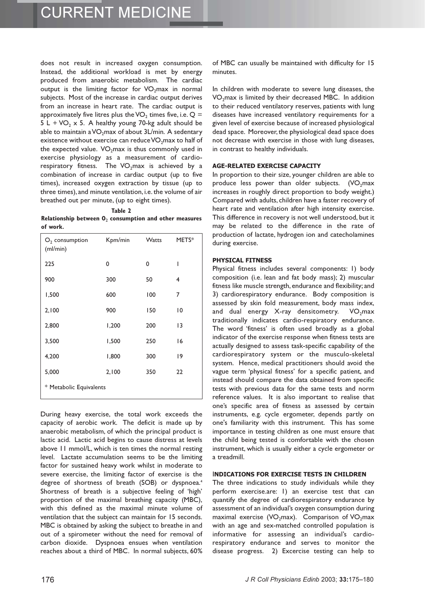does not result in increased oxygen consumption. Instead, the additional workload is met by energy produced from anaerobic metabolism. The cardiac output is the limiting factor for VO<sub>2</sub>max in normal subjects. Most of the increase in cardiac output derives from an increase in heart rate. The cardiac output is approximately five litres plus the VO<sub>2</sub> times five, i.e.  $Q =$ 5 L + VO<sub>2</sub> x 5. A healthy young 70-kg adult should be able to maintain a VO<sub>2</sub>max of about 3L/min. A sedentary existence without exercise can reduce VO<sub>2</sub>max to half of the expected value. VO<sub>2</sub>max is thus commonly used in exercise physiology as a measurement of cardiorespiratory fitness. The VO<sub>2</sub>max is achieved by a combination of increase in cardiac output (up to five times), increased oxygen extraction by tissue (up to three times), and minute ventilation, i.e. the volume of air breathed out per minute, (up to eight times).

Table 2

Relationship between  $\mathbf{0}_2$  consumption and other measures of work.

| $O2$ consumption<br>(ml/min) | Kpm/min | <b>Watts</b> | METS*          |  |
|------------------------------|---------|--------------|----------------|--|
| 225                          | 0       | 0            | I              |  |
| 900                          | 300     | 50           | 4              |  |
| 1,500                        | 600     | 100          | 7              |  |
| 2,100                        | 900     | 150          | $\overline{0}$ |  |
| 2,800                        | 1,200   | 200          | 3              |  |
| 3,500                        | 1,500   | 250          | 16             |  |
| 4,200                        | 1,800   | 300          | 19             |  |
| 5,000                        | 2,100   | 350          | 22             |  |
| * Metabolic Equivalents      |         |              |                |  |

During heavy exercise, the total work exceeds the capacity of aerobic work. The deficit is made up by anaerobic metabolism, of which the principal product is lactic acid. Lactic acid begins to cause distress at levels above 11 mmol/L, which is ten times the normal resting level. Lactate accumulation seems to be the limiting factor for sustained heavy work whilst in moderate to severe exercise, the limiting factor of exercise is the degree of shortness of breath (SOB) or dyspnoea.<sup>4</sup> Shortness of breath is a subjective feeling of 'high' proportion of the maximal breathing capacity (MBC), with this defined as the maximal minute volume of ventilation that the subject can maintain for 15 seconds. MBC is obtained by asking the subject to breathe in and out of a spirometer without the need for removal of carbon dioxide. Dyspnoea ensues when ventilation reaches about a third of MBC. In normal subjects, 60%

of MBC can usually be maintained with difficulty for 15 minutes.

In children with moderate to severe lung diseases, the VO<sub>2</sub>max is limited by their decreased MBC. In addition to their reduced ventilatory reserves, patients with lung diseases have increased ventilatory requirements for a given level of exercise because of increased physiological dead space. Moreover, the physiological dead space does not decrease with exercise in those with lung diseases, in contrast to healthy individuals.

#### **AGE-RELATED EXERCISE CAPACITY**

In proportion to their size, younger children are able to produce less power than older subjects. (VO<sub>2</sub>max increases in roughly direct proportion to body weight.) Compared with adults, children have a faster recovery of heart rate and ventilation after high intensity exercise. This difference in recovery is not well understood, but it may be related to the difference in the rate of production of lactate, hydrogen ion and catecholamines during exercise.

#### **PHYSICAL FITNESS**

Physical fitness includes several components: 1) body composition (i.e. lean and fat body mass); 2) muscular fitness like muscle strength, endurance and flexibility; and 3) cardiorespiratory endurance. Body composition is assessed by skin fold measurement, body mass index, and dual energy X-ray densitometry. VO<sub>2</sub>max traditionally indicates cardio-respiratory endurance. The word 'fitness' is often used broadly as a global indicator of the exercise response when fitness tests are actually designed to assess task-specific capability of the cardiorespiratory system or the musculo-skeletal system. Hence, medical practitioners should avoid the vague term 'physical fitness' for a specific patient, and instead should compare the data obtained from specific tests with previous data for the same tests and norm reference values. It is also important to realise that one's specific area of fitness as assessed by certain instruments, e.g. cycle ergometer, depends partly on one's familiarity with this instrument. This has some importance in testing children as one must ensure that the child being tested is comfortable with the chosen instrument, which is usually either a cycle ergometer or a treadmill.

#### **INDICATIONS FOR EXERCISE TESTS IN CHILDREN**

The three indications to study individuals while they perform exercise.are: 1) an exercise test that can quantify the degree of cardiorespiratory endurance by assessment of an individual's oxygen consumption during maximal exercise (VO<sub>2</sub>max). Comparison of VO<sub>2</sub>max with an age and sex-matched controlled population is informative for assessing an individual's cardiorespiratory endurance and serves to monitor the disease progress. 2) Excercise testing can help to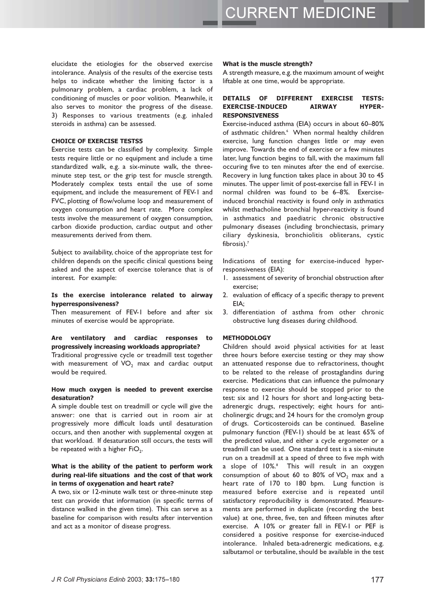elucidate the etiologies for the observed exercise intolerance. Analysis of the results of the exercise tests helps to indicate whether the limiting factor is a pulmonary problem, a cardiac problem, a lack of conditioning of muscles or poor volition. Meanwhile, it also serves to monitor the progress of the disease. 3) Responses to various treatments (e.g. inhaled steroids in asthma) can be assessed.

#### **CHOICE OF EXERCISE TESTS5**

Exercise tests can be classified by complexity. Simple tests require little or no equipment and include a time standardized walk, e.g. a six-minute walk, the threeminute step test, or the grip test for muscle strength. Moderately complex tests entail the use of some equipment, and include the measurement of FEV-1 and FVC, plotting of flow/volume loop and measurement of oxygen consumption and heart rate. More complex tests involve the measurement of oxygen consumption, carbon dioxide production, cardiac output and other measurements derived from them.

Subject to availability, choice of the appropriate test for children depends on the specific clinical questions being asked and the aspect of exercise tolerance that is of interest. For example:

#### Is the exercise intolerance related to airway hyperresponsiveness?

Then measurement of FEV-1 before and after six minutes of exercise would be appropriate.

#### Are ventilatory and cardiac responses to progressively increasing workloads appropriate?

Traditional progressive cycle or treadmill test together with measurement of VO<sub>2</sub> max and cardiac output would be required.

## How much oxygen is needed to prevent exercise desaturation?

A simple double test on treadmill or cycle will give the answer: one that is carried out in room air at progressively more difficult loads until desaturation occurs, and then another with supplemental oxygen at that workload. If desaturation still occurs, the tests will be repeated with a higher FiO<sub>2</sub>.

### What is the ability of the patient to perform work during real-life situations and the cost of that work in terms of oxygenation and heart rate?

A two, six or 12-minute walk test or three-minute step test can provide that information (in specific terms of distance walked in the given time). This can serve as a baseline for comparison with results after intervention and act as a monitor of disease progress.

#### What is the muscle strength?

A strength measure, e.g. the maximum amount of weight liftable at one time, would be appropriate.

#### DETAILS OF DIFFERENT **EXERCISE TESTS: EXERCISE-INDUCED ATRWAY HYPER-RESPONSIVENESS**

Exercise-induced asthma (EIA) occurs in about 60-80% of asthmatic children.<sup>6</sup> When normal healthy children exercise, lung function changes little or may even improve. Towards the end of exercise or a few minutes later, lung function begins to fall, with the maximum fall occuring five to ten minutes after the end of exercise. Recovery in lung function takes place in about 30 to 45 minutes. The upper limit of post-exercise fall in FEV-1 in normal children was found to be 6-8%. Exerciseinduced bronchial reactivity is found only in asthmatics whilst methacholine bronchial hyper-reactivity is found in asthmatics and paediatric chronic obstructive pulmonary diseases (including bronchiectasis, primary ciliary dyskinesia, bronchiolitis obliterans, cystic fibrosis).<sup>7</sup>

Indications of testing for exercise-induced hyperresponsiveness (EIA):

- 1. assessment of severity of bronchial obstruction after exercise;
- 2. evaluation of efficacy of a specific therapy to prevent  $FIA:$
- 3. differentiation of asthma from other chronic obstructive lung diseases during childhood.

#### **METHODOLOGY**

Children should avoid physical activities for at least three hours before exercise testing or they may show an attenuated response due to refractoriness, thought to be related to the release of prostaglandins during exercise. Medications that can influence the pulmonary response to exercise should be stopped prior to the test: six and 12 hours for short and long-acting betaadrenergic drugs, respectively; eight hours for anticholinergic drugs; and 24 hours for the cromolyn group of drugs. Corticosteroids can be continued. Baseline pulmonary function (FEV-1) should be at least 65% of the predicted value, and either a cycle ergometer or a treadmill can be used. One standard test is a six-minute run on a treadmill at a speed of three to five mph with a slope of 10%.<sup>8</sup> This will result in an oxygen consumption of about 60 to 80% of  $VO_2$  max and a heart rate of 170 to 180 bpm. Lung function is measured before exercise and is repeated until satisfactory reproducibility is demonstrated. Measurements are performed in duplicate (recording the best value) at one, three, five, ten and fifteen minutes after exercise. A 10% or greater fall in FEV-1 or PEF is considered a positive response for exercise-induced intolerance. Inhaled beta-adrenergic medications, e.g. salbutamol or terbutaline, should be available in the test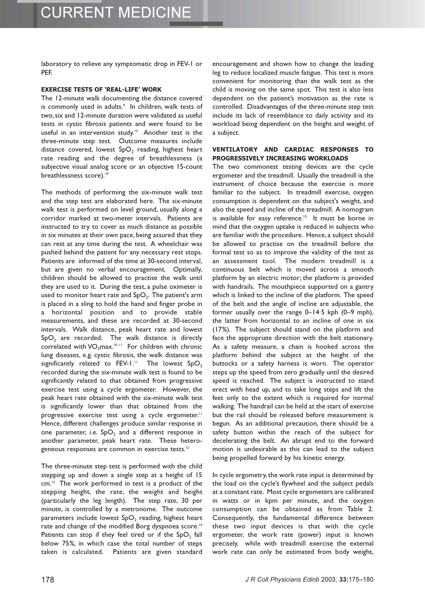laboratory to relieve any symptomatic drop in FEV-1 or PEF.

#### **EXERCISE TESTS OF 'REAL-LIFE' WORK**

The 12-minute walk documenting the distance covered is commonly used in adults.<sup>9</sup> In children, walk tests of two, six and 12-minute duration were validated as useful tests in cystic fibrosis patients and were found to be useful in an intervention study.<sup>12</sup> Another test is the three-minute step test. Outcome measures include distance covered, lowest  $SpO<sub>2</sub>$  reading, highest heart rate reading and the degree of breathlessness (a subjective visual analog score or an objective 15-count breathlessness score).<sup>10</sup>

The methods of performing the six-minute walk test and the step test are elaborated here. The six-minute walk test is performed on level ground, usually along a corridor marked at two-meter intervals. Patients are instructed to try to cover as much distance as possible in six minutes at their own pace, being assured that they can rest at any time during the test. A wheelchair was pushed behind the patient for any necessary rest stops. Patients are informed of the time at 30-second interval, but are given no verbal encouragement. Optimally, children should be allowed to practise the walk until they are used to it. During the test, a pulse oximeter is used to monitor heart rate and SpO<sub>2</sub>. The patient's arm is placed in a sling to hold the hand and finger probe in a horizontal position and to provide stable measurements, and these are recorded at 30-second intervals. Walk distance, peak heart rate and lowest SpO<sub>2</sub> are recorded. The walk distance is directly correlated with  $VO<sub>2</sub>max.<sup>10,11</sup>$  For children with chronic lung diseases, e.g. cystic fibrosis, the walk distance was significantly related to FEV-1." The lowest SpO<sub>2</sub> recorded during the six-minute walk test is found to be significantly related to that obtained from progressive exercise test using a cycle ergometer. However, the peak heart rate obtained with the six-minute walk test is significantly lower than that obtained from the progressive exercise test using a cycle ergometer." Hence, different challenges produce similar response in one parameter, i.e.  $SpO<sub>2</sub>$  and a different response in another parameter, peak heart rate. These heterogeneous responses are common in exercise tests.<sup>12</sup>

The three-minute step test is performed with the child stepping up and down a single step at a height of 15 cm.<sup>13</sup> The work performed in test is a product of the stepping height, the rate, the weight and height (particularly the leg length). The step rate, 30 per minute, is controlled by a metronome. The outcome parameters include lowest  $SpO<sub>2</sub>$  reading, highest heart rate and change of the modified Borg dyspnoea score.<sup>14</sup> Patients can stop if they feel tired or if the SpO<sub>2</sub> fall below 75%, in which case the total number of steps taken is calculated. Patients are given standard

encouragement and shown how to change the leading leg to reduce localized muscle fatigue. This test is more convenient for monitoring than the walk test as the child is moving on the same spot. This test is also less dependent on the patient's motivation as the rate is controlled. Disadvantages of the three-minute step test include its lack of resemblance to daily activity and its workload being dependent on the height and weight of a subject.

#### VENTILATORY AND CARDIAC RESPONSES TO PROGRESSIVELY INCREASING WORKLOADS

The two commonest testing devices are the cycle ergometer and the treadmill. Usually the treadmill is the instrument of choice because the exercise is more familiar to the subject. In treadmill exercise, oxygen consumption is dependent on the subject's weight, and also the speed and incline of the treadmill. A nomogram is available for easy reference.<sup>15</sup> It must be borne in mind that the oxygen uptake is reduced in subjects who are familiar with the procedure. Hence, a subject should be allowed to practise on the treadmill before the formal test so as to improve the validity of the test as an assessment tool. The modern treadmill is a continuous belt which is moved across a smooth platform by an electric motor; the platform is provided with handrails. The mouthpiece supported on a gantry which is linked to the incline of the platform. The speed of the belt and the angle of incline are adjustable, the former usually over the range 0-14.5 kph (0-9 mph), the latter from horizontal to an incline of one in six (17%). The subject should stand on the platform and face the appropriate direction with the belt stationary. As a safety measure, a chain is hooked across the platform behind the subject at the height of the buttocks or a safety harness is worn. The operator steps up the speed from zero gradually until the desired speed is reached. The subject is instructed to stand erect with head up, and to take long steps and lift the feet only to the extent which is required for normal walking. The handrail can be held at the start of exercise but the rail should be released before measurement is begun. As an additional precaution, there should be a safety button within the reach of the subject for decelerating the belt. An abrupt end to the forward motion is undesirable as this can lead to the subject being propelled forward by his kinetic energy.

In cycle ergometry, the work rate input is determined by the load on the cycle's flywheel and the subject pedals at a constant rate. Most cycle ergometers are calibrated in watts or in kpm per minute, and the oxygen consumption can be obtained as from Table 2. Consequently, the fundamental difference between these two input devices is that with the cycle ergometer, the work rate (power) input is known precisely, while with treadmill exercise the external work rate can only be estimated from body weight,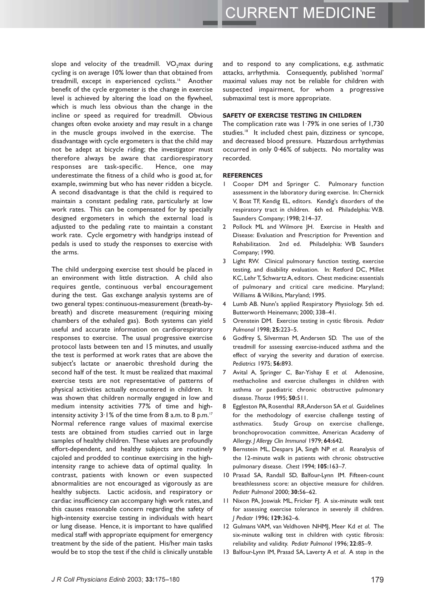slope and velocity of the treadmill. VO<sub>2</sub>max during cycling is on average 10% lower than that obtained from treadmill, except in experienced cyclists.<sup>16</sup> Another benefit of the cycle ergometer is the change in exercise level is achieved by altering the load on the flywheel, which is much less obvious than the change in the incline or speed as required for treadmill. Obvious changes often evoke anxiety and may result in a change in the muscle groups involved in the exercise. The disadvantage with cycle ergometers is that the child may not be adept at bicycle riding; the investigator must therefore always be aware that cardiorespiratory responses are task-specific. Hence, one may underestimate the fitness of a child who is good at, for example, swimming but who has never ridden a bicycle. A second disadvantage is that the child is required to maintain a constant pedaling rate, particularly at low work rates. This can be compensated for by specially designed ergometers in which the external load is adjusted to the pedaling rate to maintain a constant work rate. Cycle ergometry with handgrips instead of pedals is used to study the responses to exercise with the arms.

The child undergoing exercise test should be placed in an environment with little distraction. A child also requires gentle, continuous verbal encouragement during the test. Gas exchange analysis systems are of two general types: continuous-measurement (breath-bybreath) and discrete measurement (requiring mixing chambers of the exhaled gas). Both systems can yield useful and accurate information on cardiorespiratory responses to exercise. The usual progressive exercise protocol lasts between ten and 15 minutes, and usually the test is performed at work rates that are above the subject's lactate or anaerobic threshold during the second half of the test. It must be realized that maximal exercise tests are not representative of patterns of physical activities actually encountered in children. It was shown that children normally engaged in low and medium intensity activities 77% of time and highintensity activity 3.1% of the time from 8 a.m. to 8 p.m.<sup>17</sup> Normal reference range values of maximal exercise tests are obtained from studies carried out in large samples of healthy children. These values are profoundly effort-dependent, and healthy subjects are routinely cajoled and prodded to continue exercising in the highintensity range to achieve data of optimal quality. In contrast, patients with known or even suspected abnormalities are not encouraged as vigorously as are healthy subjects. Lactic acidosis, and respiratory or cardiac insufficiency can accompany high work rates, and this causes reasonable concern regarding the safety of high-intensity exercise testing in individuals with heart or lung disease. Hence, it is important to have qualified medical staff with appropriate equipment for emergency treatment by the side of the patient. His/her main tasks would be to stop the test if the child is clinically unstable

and to respond to any complications, e.g. asthmatic attacks, arrhythmia. Consequently, published 'normal' maximal values may not be reliable for children with suspected impairment, for whom a progressive submaximal test is more appropriate.

#### SAFETY OF EXERCISE TESTING IN CHILDREN

The complication rate was 1.79% in one series of 1,730 studies.<sup>18</sup> It included chest pain, dizziness or syncope, and decreased blood pressure. Hazardous arrhythmias occurred in only 0.46% of subjects. No mortality was recorded.

#### **REFERENCES**

- $\mathbf{L}$ Cooper DM and Springer C. Pulmonary function assessment in the laboratory during exercise. In: Chernick V, Boat TF, Kendig EL, editors. Kendig's disorders of the respiratory tract in children. 6th ed. Philadelphia: W.B. Saunders Company; 1998; 214-37.
- Pollock ML and Wilmore JH. Exercise in Health and  $\overline{2}$ Disease: Evaluation and Prescription for Prevention and Rehabilitation. 2nd ed. Philadelphia: WB Saunders Company; 1990.
- 3 Light RW. Clinical pulmonary function testing, exercise testing, and disability evaluation. In: Retford DC, Millet KC, Lehr T, Schwartz A, editors. Chest medicine: essentials of pulmonary and critical care medicine. Maryland; Williams & Wilkins, Maryland; 1995.
- Lumb AB. Nunn's applied Respiratory Physiology. 5th ed.  $\overline{4}$ Butterworth Heinemann; 2000; 338-41.
- Orenstein DM. Exercise testing in cystic fibrosis. Pediatr  $\overline{5}$ Pulmonol 1998; 25:223-5.
- Godfrey S, Silverman M, Andersen SD. The use of the treadmill for assessing exercise-induced asthma and the effect of varying the severity and duration of exercise. Pediatrics 1975; 56:893.
- Avital A, Springer C, Bar-Yishay E et al. Adenosine,  $\overline{7}$ methacholine and exercise challenges in children with asthma or paediatric chronic obstructive pulmonary disease. Thorax 1995; 50:511.
- Eggleston PA, Rosenthal RR, Anderson SA et al. Guidelines  $\mathsf{R}$ for the methodology of exercise challenge testing of asthmatics. Study Group on exercise challenge, bronchoprovocation committee, American Academy of Allergy. J Allergy Clin Immunol 1979; 64:642.
- $\mathbf{q}$ Bernstein ML, Despars JA, Singh NP et al. Reanalysis of the 12-minute walk in patients with chronic obstructive pulmonary disease. Chest 1994; 105:163-7.
- 10 Prasad SA, Randall SD, Balfour-Lynn IM. Fifteen-count breathlessness score: an objective measure for children. Pediatr Pulmonol 2000; 30:56-62.
- 11 Nixon PA, Joswiak ML, Fricker FJ. A six-minute walk test for assessing exercise tolerance in severely ill children. | Pediatr 1996; 129:362-6.
- 12 Gulmans VAM, van Veldhoven NHMJ, Meer Kd et al. The six-minute walking test in children with cystic fibrosis: reliability and validity. Pediatr Pulmonol 1996; 22:85-9.
- 13 Balfour-Lynn IM, Prasad SA, Laverty A et al. A step in the